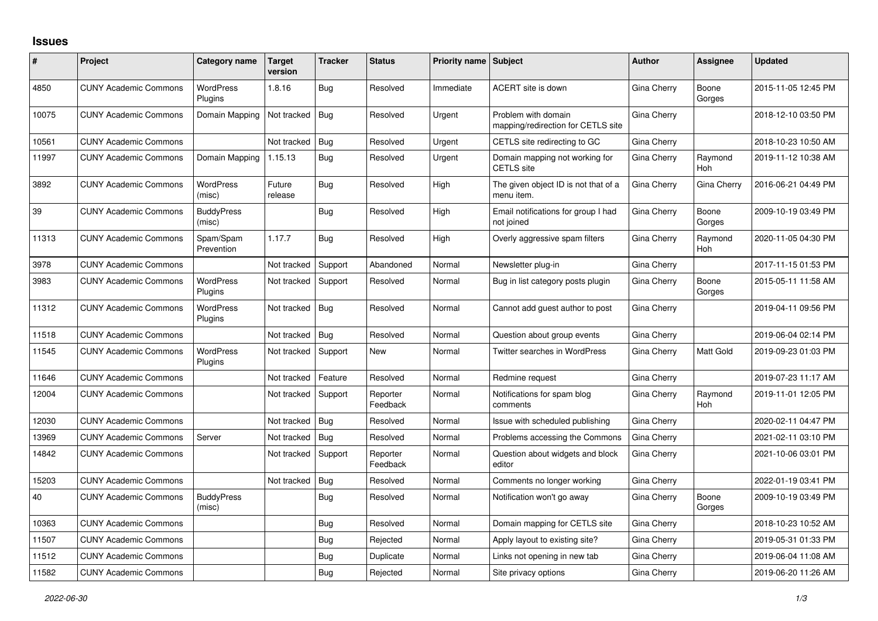## **Issues**

| #     | Project                      | Category name               | Target<br>version | <b>Tracker</b> | <b>Status</b>        | <b>Priority name Subject</b> |                                                           | <b>Author</b> | Assignee              | <b>Updated</b>      |
|-------|------------------------------|-----------------------------|-------------------|----------------|----------------------|------------------------------|-----------------------------------------------------------|---------------|-----------------------|---------------------|
| 4850  | <b>CUNY Academic Commons</b> | <b>WordPress</b><br>Plugins | 1.8.16            | Bug            | Resolved             | Immediate                    | ACERT site is down                                        | Gina Cherry   | Boone<br>Gorges       | 2015-11-05 12:45 PM |
| 10075 | <b>CUNY Academic Commons</b> | Domain Mapping              | Not tracked       | Bug            | Resolved             | Urgent                       | Problem with domain<br>mapping/redirection for CETLS site | Gina Cherry   |                       | 2018-12-10 03:50 PM |
| 10561 | <b>CUNY Academic Commons</b> |                             | Not tracked       | Bug            | Resolved             | Urgent                       | CETLS site redirecting to GC                              | Gina Cherry   |                       | 2018-10-23 10:50 AM |
| 11997 | <b>CUNY Academic Commons</b> | Domain Mapping              | 1.15.13           | Bug            | Resolved             | Urgent                       | Domain mapping not working for<br><b>CETLS</b> site       | Gina Cherry   | Raymond<br><b>Hoh</b> | 2019-11-12 10:38 AM |
| 3892  | <b>CUNY Academic Commons</b> | <b>WordPress</b><br>(misc)  | Future<br>release | Bug            | Resolved             | High                         | The given object ID is not that of a<br>menu item.        | Gina Cherry   | Gina Cherry           | 2016-06-21 04:49 PM |
| 39    | <b>CUNY Academic Commons</b> | <b>BuddyPress</b><br>(misc) |                   | Bug            | Resolved             | High                         | Email notifications for group I had<br>not joined         | Gina Cherry   | Boone<br>Gorges       | 2009-10-19 03:49 PM |
| 11313 | <b>CUNY Academic Commons</b> | Spam/Spam<br>Prevention     | 1.17.7            | Bug            | Resolved             | High                         | Overly aggressive spam filters                            | Gina Cherry   | Raymond<br><b>Hoh</b> | 2020-11-05 04:30 PM |
| 3978  | <b>CUNY Academic Commons</b> |                             | Not tracked       | Support        | Abandoned            | Normal                       | Newsletter plug-in                                        | Gina Cherry   |                       | 2017-11-15 01:53 PM |
| 3983  | <b>CUNY Academic Commons</b> | <b>WordPress</b><br>Plugins | Not tracked       | Support        | Resolved             | Normal                       | Bug in list category posts plugin                         | Gina Cherry   | Boone<br>Gorges       | 2015-05-11 11:58 AM |
| 11312 | <b>CUNY Academic Commons</b> | <b>WordPress</b><br>Plugins | Not tracked       | Bug            | Resolved             | Normal                       | Cannot add guest author to post                           | Gina Cherry   |                       | 2019-04-11 09:56 PM |
| 11518 | <b>CUNY Academic Commons</b> |                             | Not tracked       | Bug            | Resolved             | Normal                       | Question about group events                               | Gina Cherry   |                       | 2019-06-04 02:14 PM |
| 11545 | <b>CUNY Academic Commons</b> | <b>WordPress</b><br>Plugins | Not tracked       | Support        | New                  | Normal                       | Twitter searches in WordPress                             | Gina Cherry   | Matt Gold             | 2019-09-23 01:03 PM |
| 11646 | <b>CUNY Academic Commons</b> |                             | Not tracked       | Feature        | Resolved             | Normal                       | Redmine request                                           | Gina Cherry   |                       | 2019-07-23 11:17 AM |
| 12004 | <b>CUNY Academic Commons</b> |                             | Not tracked       | Support        | Reporter<br>Feedback | Normal                       | Notifications for spam blog<br>comments                   | Gina Cherry   | Raymond<br>Hoh        | 2019-11-01 12:05 PM |
| 12030 | <b>CUNY Academic Commons</b> |                             | Not tracked       | Bug            | Resolved             | Normal                       | Issue with scheduled publishing                           | Gina Cherry   |                       | 2020-02-11 04:47 PM |
| 13969 | <b>CUNY Academic Commons</b> | Server                      | Not tracked       | Bug            | Resolved             | Normal                       | Problems accessing the Commons                            | Gina Cherry   |                       | 2021-02-11 03:10 PM |
| 14842 | <b>CUNY Academic Commons</b> |                             | Not tracked       | Support        | Reporter<br>Feedback | Normal                       | Question about widgets and block<br>editor                | Gina Cherry   |                       | 2021-10-06 03:01 PM |
| 15203 | <b>CUNY Academic Commons</b> |                             | Not tracked       | Bug            | Resolved             | Normal                       | Comments no longer working                                | Gina Cherry   |                       | 2022-01-19 03:41 PM |
| 40    | <b>CUNY Academic Commons</b> | <b>BuddyPress</b><br>(misc) |                   | Bug            | Resolved             | Normal                       | Notification won't go away                                | Gina Cherry   | Boone<br>Gorges       | 2009-10-19 03:49 PM |
| 10363 | <b>CUNY Academic Commons</b> |                             |                   | Bug            | Resolved             | Normal                       | Domain mapping for CETLS site                             | Gina Cherry   |                       | 2018-10-23 10:52 AM |
| 11507 | <b>CUNY Academic Commons</b> |                             |                   | Bug            | Rejected             | Normal                       | Apply layout to existing site?                            | Gina Cherry   |                       | 2019-05-31 01:33 PM |
| 11512 | <b>CUNY Academic Commons</b> |                             |                   | Bug            | Duplicate            | Normal                       | Links not opening in new tab                              | Gina Cherry   |                       | 2019-06-04 11:08 AM |
| 11582 | <b>CUNY Academic Commons</b> |                             |                   | Bug            | Rejected             | Normal                       | Site privacy options                                      | Gina Cherry   |                       | 2019-06-20 11:26 AM |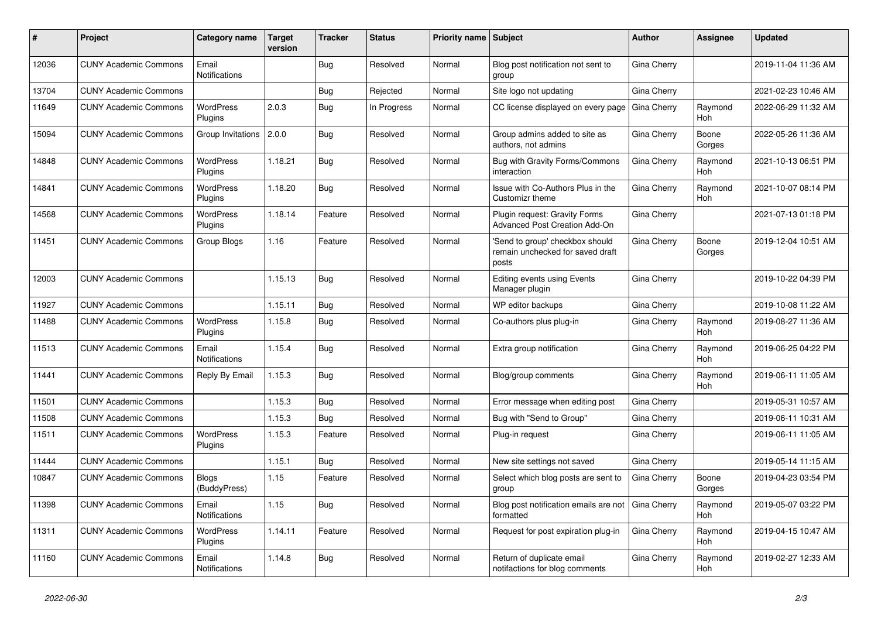| #     | Project                      | Category name                | <b>Target</b><br>version | <b>Tracker</b> | <b>Status</b> | Priority name Subject |                                                                              | Author             | Assignee              | <b>Updated</b>      |
|-------|------------------------------|------------------------------|--------------------------|----------------|---------------|-----------------------|------------------------------------------------------------------------------|--------------------|-----------------------|---------------------|
| 12036 | <b>CUNY Academic Commons</b> | Email<br>Notifications       |                          | <b>Bug</b>     | Resolved      | Normal                | Blog post notification not sent to<br>group                                  | Gina Cherry        |                       | 2019-11-04 11:36 AM |
| 13704 | <b>CUNY Academic Commons</b> |                              |                          | Bug            | Rejected      | Normal                | Site logo not updating                                                       | Gina Cherry        |                       | 2021-02-23 10:46 AM |
| 11649 | <b>CUNY Academic Commons</b> | <b>WordPress</b><br>Plugins  | 2.0.3                    | <b>Bug</b>     | In Progress   | Normal                | CC license displayed on every page                                           | Gina Cherry        | Raymond<br><b>Hoh</b> | 2022-06-29 11:32 AM |
| 15094 | <b>CUNY Academic Commons</b> | Group Invitations 2.0.0      |                          | Bug            | Resolved      | Normal                | Group admins added to site as<br>authors, not admins                         | Gina Cherry        | Boone<br>Gorges       | 2022-05-26 11:36 AM |
| 14848 | <b>CUNY Academic Commons</b> | WordPress<br>Plugins         | 1.18.21                  | Bug            | Resolved      | Normal                | Bug with Gravity Forms/Commons<br>interaction                                | Gina Cherry        | Raymond<br><b>Hoh</b> | 2021-10-13 06:51 PM |
| 14841 | <b>CUNY Academic Commons</b> | <b>WordPress</b><br>Plugins  | 1.18.20                  | <b>Bug</b>     | Resolved      | Normal                | Issue with Co-Authors Plus in the<br>Customizr theme                         | Gina Cherry        | Raymond<br>Hoh        | 2021-10-07 08:14 PM |
| 14568 | <b>CUNY Academic Commons</b> | <b>WordPress</b><br>Plugins  | 1.18.14                  | Feature        | Resolved      | Normal                | Plugin request: Gravity Forms<br>Advanced Post Creation Add-On               | Gina Cherry        |                       | 2021-07-13 01:18 PM |
| 11451 | <b>CUNY Academic Commons</b> | Group Blogs                  | 1.16                     | Feature        | Resolved      | Normal                | 'Send to group' checkbox should<br>remain unchecked for saved draft<br>posts | Gina Cherry        | Boone<br>Gorges       | 2019-12-04 10:51 AM |
| 12003 | <b>CUNY Academic Commons</b> |                              | 1.15.13                  | Bug            | Resolved      | Normal                | Editing events using Events<br>Manager plugin                                | Gina Cherry        |                       | 2019-10-22 04:39 PM |
| 11927 | <b>CUNY Academic Commons</b> |                              | 1.15.11                  | Bug            | Resolved      | Normal                | WP editor backups                                                            | Gina Cherry        |                       | 2019-10-08 11:22 AM |
| 11488 | <b>CUNY Academic Commons</b> | WordPress<br>Plugins         | 1.15.8                   | Bug            | Resolved      | Normal                | Co-authors plus plug-in                                                      | Gina Cherry        | Raymond<br><b>Hoh</b> | 2019-08-27 11:36 AM |
| 11513 | <b>CUNY Academic Commons</b> | Email<br>Notifications       | 1.15.4                   | Bug            | Resolved      | Normal                | Extra group notification                                                     | Gina Cherry        | Raymond<br><b>Hoh</b> | 2019-06-25 04:22 PM |
| 11441 | <b>CUNY Academic Commons</b> | Reply By Email               | 1.15.3                   | <b>Bug</b>     | Resolved      | Normal                | Blog/group comments                                                          | Gina Cherry        | Raymond<br>Hoh        | 2019-06-11 11:05 AM |
| 11501 | <b>CUNY Academic Commons</b> |                              | 1.15.3                   | Bug            | Resolved      | Normal                | Error message when editing post                                              | Gina Cherry        |                       | 2019-05-31 10:57 AM |
| 11508 | <b>CUNY Academic Commons</b> |                              | 1.15.3                   | Bug            | Resolved      | Normal                | Bug with "Send to Group"                                                     | Gina Cherry        |                       | 2019-06-11 10:31 AM |
| 11511 | <b>CUNY Academic Commons</b> | WordPress<br>Plugins         | 1.15.3                   | Feature        | Resolved      | Normal                | Plug-in request                                                              | Gina Cherry        |                       | 2019-06-11 11:05 AM |
| 11444 | <b>CUNY Academic Commons</b> |                              | 1.15.1                   | Bug            | Resolved      | Normal                | New site settings not saved                                                  | Gina Cherry        |                       | 2019-05-14 11:15 AM |
| 10847 | <b>CUNY Academic Commons</b> | <b>Blogs</b><br>(BuddyPress) | 1.15                     | Feature        | Resolved      | Normal                | Select which blog posts are sent to<br>group                                 | Gina Cherry        | Boone<br>Gorges       | 2019-04-23 03:54 PM |
| 11398 | <b>CUNY Academic Commons</b> | Email<br>Notifications       | 1.15                     | <b>Bug</b>     | Resolved      | Normal                | Blog post notification emails are not Gina Cherry<br>formatted               |                    | Raymond<br>Hoh        | 2019-05-07 03:22 PM |
| 11311 | <b>CUNY Academic Commons</b> | WordPress<br>Plugins         | 1.14.11                  | Feature        | Resolved      | Normal                | Request for post expiration plug-in                                          | <b>Gina Cherry</b> | Raymond<br>Hoh        | 2019-04-15 10:47 AM |
| 11160 | <b>CUNY Academic Commons</b> | Email<br>Notifications       | 1.14.8                   | <b>Bug</b>     | Resolved      | Normal                | Return of duplicate email<br>notifactions for blog comments                  | Gina Cherry        | Raymond<br>Hoh        | 2019-02-27 12:33 AM |